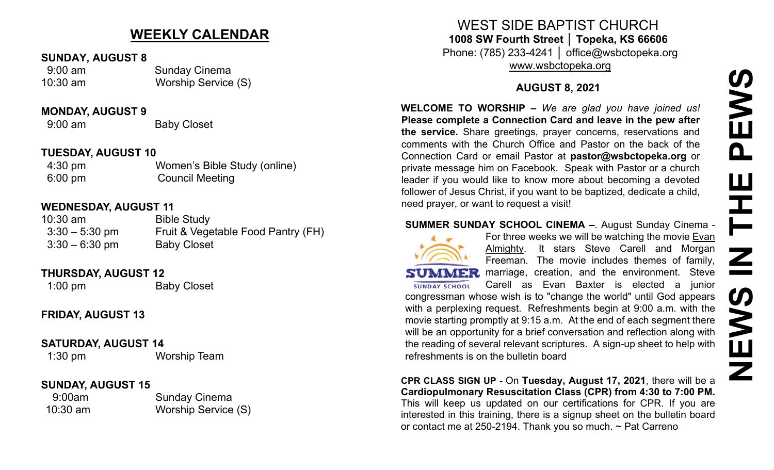# **NEWS IN THE PEWS**PEWS **HHE** Z **S NEW**

# **WEEKLY CALENDAR**

#### **SUNDAY, AUGUST 8**

 9:00 am Sunday Cinema 10:30 am Worship Service (S)

#### **MONDAY, AUGUST 9**

9:00 am Baby Closet

#### **TUESDAY, AUGUST 10**

| $4:30 \text{ pm}$ | Women's Bible Study (online) |
|-------------------|------------------------------|
| $6:00 \text{ pm}$ | <b>Council Meeting</b>       |

# **WEDNESDAY, AUGUST 11**

| $10:30$ am       | <b>Bible Study</b>                 |
|------------------|------------------------------------|
| $3:30 - 5:30$ pm | Fruit & Vegetable Food Pantry (FH) |
| $3:30 - 6:30$ pm | <b>Baby Closet</b>                 |

#### **THURSDAY, AUGUST 12**

1:00 pm Baby Closet

# **FRIDAY, AUGUST 13**

#### **SATURDAY, AUGUST 14**

1:30 pm Worship Team

# **SUNDAY, AUGUST 15**

9:00am Sunday Cinema 10:30 am Worship Service (S)

WEST SIDE BAPTIST CHURCH **1008 SW Fourth Street │ Topeka, KS 66606** Phone: (785) 233-4241 │ office@wsbctopeka.org

[www.wsbctopeka.org](http://www.wsbctopeka.org/)

# **AUGUST 8, 2021**

**WELCOME TO WORSHIP –** *We are glad you have joined us!* **Please complete a Connection Card and leave in the pew after the service.** Share greetings, prayer concerns, reservations and comments with the Church Office and Pastor on the back of the Connection Card or email Pastor at **pastor@wsbctopeka.org** or private message him on Facebook. [S](https://www.facebook.com/ivangreuter.)peak with Pastor or a church leader if you would like to know more about becoming a devoted follower of Jesus Christ, if you want to be baptized, dedicate a child, need prayer, or want to request a visit!

#### **SUMMER SUNDAY SCHOOL CINEMA –**. August Sunday Cinema -



For three weeks we will be watching the movie Evan Almighty. It stars Steve Carell and Morgan Freeman. The movie includes themes of family, SUMMER marriage, creation, and the environment. Steve Carell as Evan Baxter is elected a junior **SUNDAY SCHOOL** congressman whose wish is to "change the world" until God appears with a perplexing request. Refreshments begin at 9:00 a.m. with the movie starting promptly at 9:15 a.m. At the end of each segment there will be an opportunity for a brief conversation and reflection along with the reading of several relevant scriptures. A sign-up sheet to help with refreshments is on the bulletin board

**CPR CLASS SIGN UP -** On **Tuesday, August 17, 2021**, there will be a **Cardiopulmonary Resuscitation Class (CPR) from 4:30 to 7:00 PM.** This will keep us updated on our certifications for CPR. If you are interested in this training, there is a signup sheet on the bulletin board or contact me at 250-2194. Thank you so much. ~ Pat Carreno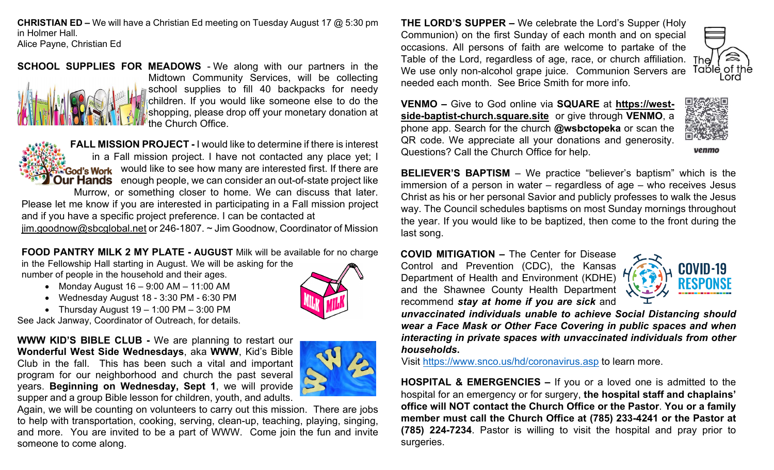**CHRISTIAN ED –** We will have a Christian Ed meeting on Tuesday August 17 @ 5:30 pm in Holmer Hall.

Alice Payne, Christian Ed

**SCHOOL SUPPLIES FOR MEADOWS** - We along with our partners in the Midtown Community Services, will be collecting school supplies to fill 40 backpacks for needy children. If you would like someone else to do the shopping, please drop off your monetary donation at the Church Office.

**FALL MISSION PROJECT -** I would like to determine if there is interest in a Fall mission project. I have not contacted any place yet; I God's Work would like to see how many are interested first. If there are **Our Hands** enough people, we can consider an out-of-state project like Murrow, or something closer to home. We can discuss that later. Please let me know if you are interested in participating in a Fall mission project and if you have a specific project preference. I can be contacted at [jim.goodnow@sbcglobal.net](mailto:jim.goodnow@sbcglobal.net) or 246-1807. ~ Jim Goodnow, Coordinator of Mission

**FOOD PANTRY MILK 2 MY PLATE - AUGUST** Milk will be available for no charge

in the Fellowship Hall starting in August. We will be asking for the number of people in the household and their ages.

- Monday August 16 9:00 AM 11:00 AM
- Wednesday August 18 3:30 PM 6:30 PM
- Thursday August  $19 1:00 \text{ PM} 3:00 \text{ PM}$

See Jack Janway, Coordinator of Outreach, for details.

**WWW KID'S BIBLE CLUB -** We are planning to restart our **Wonderful West Side Wednesdays**, aka **WWW**, Kid's Bible Club in the fall. This has been such a vital and important program for our neighborhood and church the past several years. **Beginning on Wednesday, Sept 1**, we will provide supper and a group Bible lesson for children, youth, and adults.



Again, we will be counting on volunteers to carry out this mission. There are jobs to help with transportation, cooking, serving, clean-up, teaching, playing, singing, and more. You are invited to be a part of WWW. Come join the fun and invite someone to come along.

**THE LORD'S SUPPER –** We celebrate the Lord's Supper (Holy Communion) on the first Sunday of each month and on special occasions. All persons of faith are welcome to partake of the Table of the Lord, regardless of age, race, or church affiliation. The We use only non-alcohol grape juice.Communion Servers are needed each month. See Brice Smith for more info.



venmo

**VENMO –** Give to God online via **SQUARE** at **[https://west](https://west-side-baptist-church.square.site/)side-baptist-chu[rch.square.site](https://west-side-baptist-church.square.site/)** or give through **VENMO**, a phone app. Search for the church **@wsbctopeka** or scan the QR code. We appreciate all your donations and generosity. Questions? Call the Church Office for help.

**BELIEVER'S BAPTISM** – We practice "believer's baptism" which is the immersion of a person in water – regardless of age – who receives Jesus Christ as his or her personal Savior and publicly professes to walk the Jesus way. The Council schedules baptisms on most Sunday mornings throughout the year. If you would like to be baptized, then come to the front during the last song.

**COVID MITIGATION –** The Center for Disease

Control and Prevention (CDC), the Kansas Department of Health and Environment (KDHE) and the Shawnee County Health Department recommend *stay at home if you are sick* and



*unvaccinated individuals unable to achieve Social Distancing should wear a Face Mask or Other Face Covering in public spaces and when interacting in private spaces with unvaccinated individuals from other households***.**

Visit <https://www.snco.us/hd/coronavirus.asp> to learn more.

**HOSPITAL & EMERGENCIES –** If you or a loved one is admitted to the hospital for an emergency or for surgery, **the hospital staff and chaplains' office will NOT contact the Church Office or the Pastor**. **You or a family member must call the Church Office at (785) 233-4241 or the Pastor at (785) 224-7234**. Pastor is willing to visit the hospital and pray prior to surgeries.